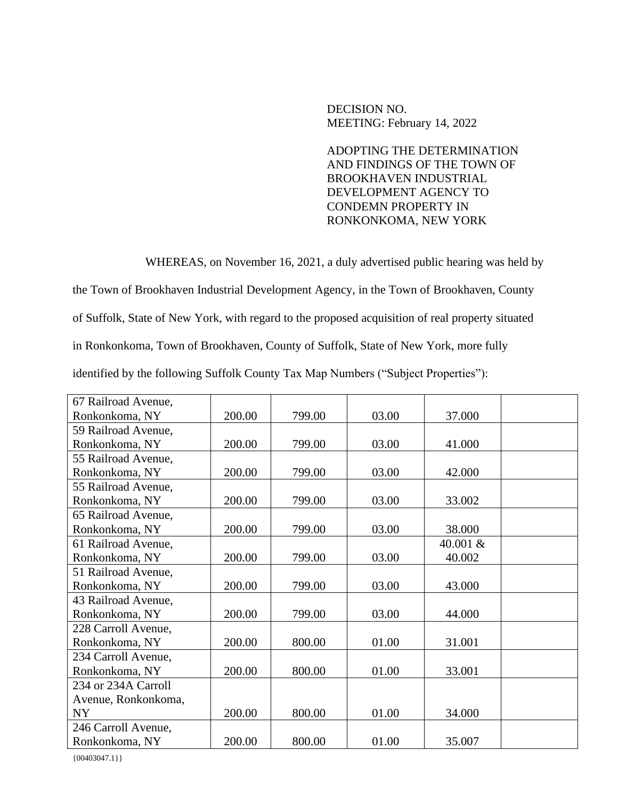DECISION NO. MEETING: February 14, 2022

ADOPTING THE DETERMINATION AND FINDINGS OF THE TOWN OF BROOKHAVEN INDUSTRIAL DEVELOPMENT AGENCY TO CONDEMN PROPERTY IN RONKONKOMA, NEW YORK

WHEREAS, on November 16, 2021, a duly advertised public hearing was held by

the Town of Brookhaven Industrial Development Agency, in the Town of Brookhaven, County

of Suffolk, State of New York, with regard to the proposed acquisition of real property situated

in Ronkonkoma, Town of Brookhaven, County of Suffolk, State of New York, more fully

identified by the following Suffolk County Tax Map Numbers ("Subject Properties"):

| 67 Railroad Avenue, |        |        |       |          |  |
|---------------------|--------|--------|-------|----------|--|
| Ronkonkoma, NY      | 200.00 | 799.00 | 03.00 | 37.000   |  |
| 59 Railroad Avenue, |        |        |       |          |  |
| Ronkonkoma, NY      | 200.00 | 799.00 | 03.00 | 41.000   |  |
| 55 Railroad Avenue, |        |        |       |          |  |
| Ronkonkoma, NY      | 200.00 | 799.00 | 03.00 | 42.000   |  |
| 55 Railroad Avenue, |        |        |       |          |  |
| Ronkonkoma, NY      | 200.00 | 799.00 | 03.00 | 33.002   |  |
| 65 Railroad Avenue, |        |        |       |          |  |
| Ronkonkoma, NY      | 200.00 | 799.00 | 03.00 | 38.000   |  |
| 61 Railroad Avenue, |        |        |       | 40.001 & |  |
| Ronkonkoma, NY      | 200.00 | 799.00 | 03.00 | 40.002   |  |
| 51 Railroad Avenue, |        |        |       |          |  |
| Ronkonkoma, NY      | 200.00 | 799.00 | 03.00 | 43.000   |  |
| 43 Railroad Avenue, |        |        |       |          |  |
| Ronkonkoma, NY      | 200.00 | 799.00 | 03.00 | 44.000   |  |
| 228 Carroll Avenue, |        |        |       |          |  |
| Ronkonkoma, NY      | 200.00 | 800.00 | 01.00 | 31.001   |  |
| 234 Carroll Avenue, |        |        |       |          |  |
| Ronkonkoma, NY      | 200.00 | 800.00 | 01.00 | 33.001   |  |
| 234 or 234A Carroll |        |        |       |          |  |
| Avenue, Ronkonkoma, |        |        |       |          |  |
| <b>NY</b>           | 200.00 | 800.00 | 01.00 | 34.000   |  |
| 246 Carroll Avenue, |        |        |       |          |  |
| Ronkonkoma, NY      | 200.00 | 800.00 | 01.00 | 35.007   |  |

 ${00403047.1}$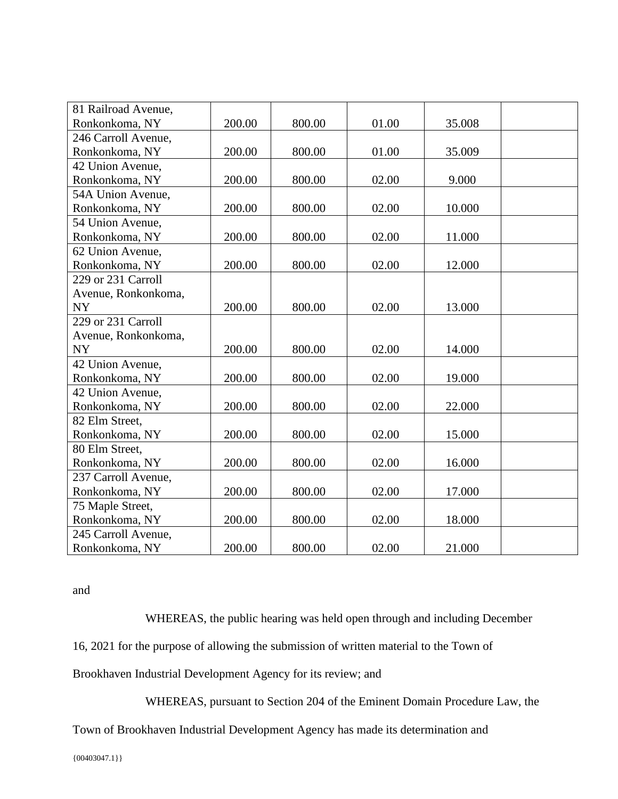| 81 Railroad Avenue, |        |        |       |        |  |
|---------------------|--------|--------|-------|--------|--|
| Ronkonkoma, NY      | 200.00 | 800.00 | 01.00 | 35.008 |  |
| 246 Carroll Avenue, |        |        |       |        |  |
| Ronkonkoma, NY      | 200.00 | 800.00 | 01.00 | 35.009 |  |
| 42 Union Avenue,    |        |        |       |        |  |
| Ronkonkoma, NY      | 200.00 | 800.00 | 02.00 | 9.000  |  |
| 54A Union Avenue,   |        |        |       |        |  |
| Ronkonkoma, NY      | 200.00 | 800.00 | 02.00 | 10.000 |  |
| 54 Union Avenue,    |        |        |       |        |  |
| Ronkonkoma, NY      | 200.00 | 800.00 | 02.00 | 11.000 |  |
| 62 Union Avenue.    |        |        |       |        |  |
| Ronkonkoma, NY      | 200.00 | 800.00 | 02.00 | 12.000 |  |
| 229 or 231 Carroll  |        |        |       |        |  |
| Avenue, Ronkonkoma, |        |        |       |        |  |
| <b>NY</b>           | 200.00 | 800.00 | 02.00 | 13.000 |  |
| 229 or 231 Carroll  |        |        |       |        |  |
| Avenue, Ronkonkoma, |        |        |       |        |  |
| <b>NY</b>           | 200.00 | 800.00 | 02.00 | 14.000 |  |
| 42 Union Avenue,    |        |        |       |        |  |
| Ronkonkoma, NY      | 200.00 | 800.00 | 02.00 | 19.000 |  |
| 42 Union Avenue,    |        |        |       |        |  |
| Ronkonkoma, NY      | 200.00 | 800.00 | 02.00 | 22.000 |  |
| 82 Elm Street,      |        |        |       |        |  |
| Ronkonkoma, NY      | 200.00 | 800.00 | 02.00 | 15.000 |  |
| 80 Elm Street,      |        |        |       |        |  |
| Ronkonkoma, NY      | 200.00 | 800.00 | 02.00 | 16.000 |  |
| 237 Carroll Avenue, |        |        |       |        |  |
| Ronkonkoma, NY      | 200.00 | 800.00 | 02.00 | 17.000 |  |
| 75 Maple Street,    |        |        |       |        |  |
| Ronkonkoma, NY      | 200.00 | 800.00 | 02.00 | 18.000 |  |
| 245 Carroll Avenue, |        |        |       |        |  |
| Ronkonkoma, NY      | 200.00 | 800.00 | 02.00 | 21.000 |  |

and

WHEREAS, the public hearing was held open through and including December

16, 2021 for the purpose of allowing the submission of written material to the Town of

Brookhaven Industrial Development Agency for its review; and

WHEREAS, pursuant to Section 204 of the Eminent Domain Procedure Law, the

Town of Brookhaven Industrial Development Agency has made its determination and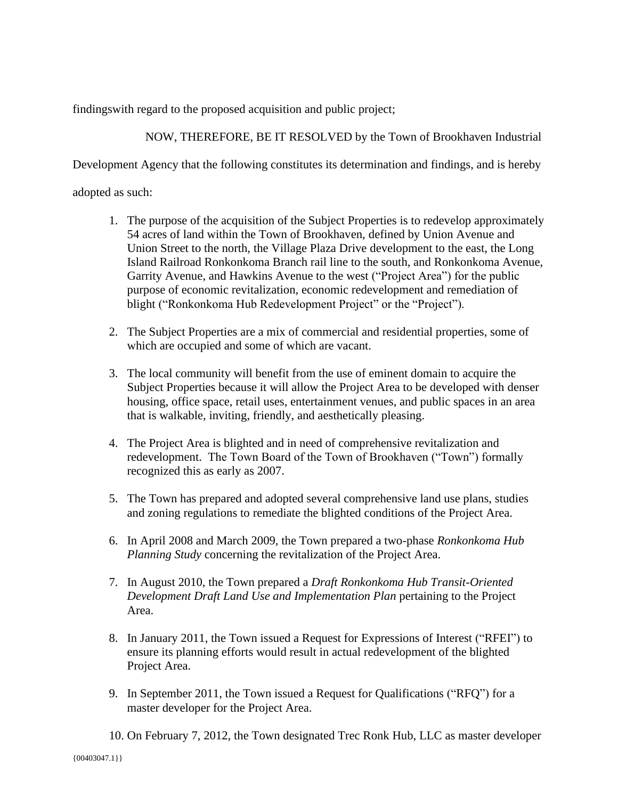findingswith regard to the proposed acquisition and public project;

NOW, THEREFORE, BE IT RESOLVED by the Town of Brookhaven Industrial

Development Agency that the following constitutes its determination and findings, and is hereby

adopted as such:

- 1. The purpose of the acquisition of the Subject Properties is to redevelop approximately 54 acres of land within the Town of Brookhaven, defined by Union Avenue and Union Street to the north, the Village Plaza Drive development to the east, the Long Island Railroad Ronkonkoma Branch rail line to the south, and Ronkonkoma Avenue, Garrity Avenue, and Hawkins Avenue to the west ("Project Area") for the public purpose of economic revitalization, economic redevelopment and remediation of blight ("Ronkonkoma Hub Redevelopment Project" or the "Project").
- 2. The Subject Properties are a mix of commercial and residential properties, some of which are occupied and some of which are vacant.
- 3. The local community will benefit from the use of eminent domain to acquire the Subject Properties because it will allow the Project Area to be developed with denser housing, office space, retail uses, entertainment venues, and public spaces in an area that is walkable, inviting, friendly, and aesthetically pleasing.
- 4. The Project Area is blighted and in need of comprehensive revitalization and redevelopment. The Town Board of the Town of Brookhaven ("Town") formally recognized this as early as 2007.
- 5. The Town has prepared and adopted several comprehensive land use plans, studies and zoning regulations to remediate the blighted conditions of the Project Area.
- 6. In April 2008 and March 2009, the Town prepared a two-phase *Ronkonkoma Hub Planning Study* concerning the revitalization of the Project Area.
- 7. In August 2010, the Town prepared a *Draft Ronkonkoma Hub Transit-Oriented Development Draft Land Use and Implementation Plan* pertaining to the Project Area.
- 8. In January 2011, the Town issued a Request for Expressions of Interest ("RFEI") to ensure its planning efforts would result in actual redevelopment of the blighted Project Area.
- 9. In September 2011, the Town issued a Request for Qualifications ("RFQ") for a master developer for the Project Area.
- 10. On February 7, 2012, the Town designated Trec Ronk Hub, LLC as master developer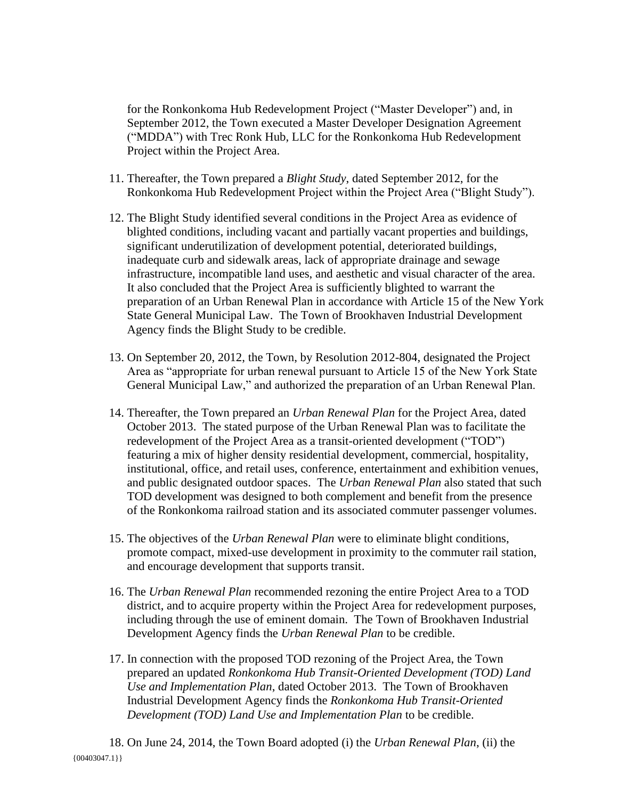for the Ronkonkoma Hub Redevelopment Project ("Master Developer") and, in September 2012, the Town executed a Master Developer Designation Agreement ("MDDA") with Trec Ronk Hub, LLC for the Ronkonkoma Hub Redevelopment Project within the Project Area.

- 11. Thereafter, the Town prepared a *Blight Study*, dated September 2012, for the Ronkonkoma Hub Redevelopment Project within the Project Area ("Blight Study").
- 12. The Blight Study identified several conditions in the Project Area as evidence of blighted conditions, including vacant and partially vacant properties and buildings, significant underutilization of development potential, deteriorated buildings, inadequate curb and sidewalk areas, lack of appropriate drainage and sewage infrastructure, incompatible land uses, and aesthetic and visual character of the area. It also concluded that the Project Area is sufficiently blighted to warrant the preparation of an Urban Renewal Plan in accordance with Article 15 of the New York State General Municipal Law. The Town of Brookhaven Industrial Development Agency finds the Blight Study to be credible.
- 13. On September 20, 2012, the Town, by Resolution 2012-804, designated the Project Area as "appropriate for urban renewal pursuant to Article 15 of the New York State General Municipal Law," and authorized the preparation of an Urban Renewal Plan.
- 14. Thereafter, the Town prepared an *Urban Renewal Plan* for the Project Area, dated October 2013. The stated purpose of the Urban Renewal Plan was to facilitate the redevelopment of the Project Area as a transit-oriented development ("TOD") featuring a mix of higher density residential development, commercial, hospitality, institutional, office, and retail uses, conference, entertainment and exhibition venues, and public designated outdoor spaces. The *Urban Renewal Plan* also stated that such TOD development was designed to both complement and benefit from the presence of the Ronkonkoma railroad station and its associated commuter passenger volumes.
- 15. The objectives of the *Urban Renewal Plan* were to eliminate blight conditions, promote compact, mixed-use development in proximity to the commuter rail station, and encourage development that supports transit.
- 16. The *Urban Renewal Plan* recommended rezoning the entire Project Area to a TOD district, and to acquire property within the Project Area for redevelopment purposes, including through the use of eminent domain. The Town of Brookhaven Industrial Development Agency finds the *Urban Renewal Plan* to be credible.
- 17. In connection with the proposed TOD rezoning of the Project Area, the Town prepared an updated *Ronkonkoma Hub Transit-Oriented Development (TOD) Land Use and Implementation Plan*, dated October 2013. The Town of Brookhaven Industrial Development Agency finds the *Ronkonkoma Hub Transit-Oriented Development (TOD) Land Use and Implementation Plan* to be credible.

 ${00403047.1}$ 18. On June 24, 2014, the Town Board adopted (i) the *Urban Renewal Plan*, (ii) the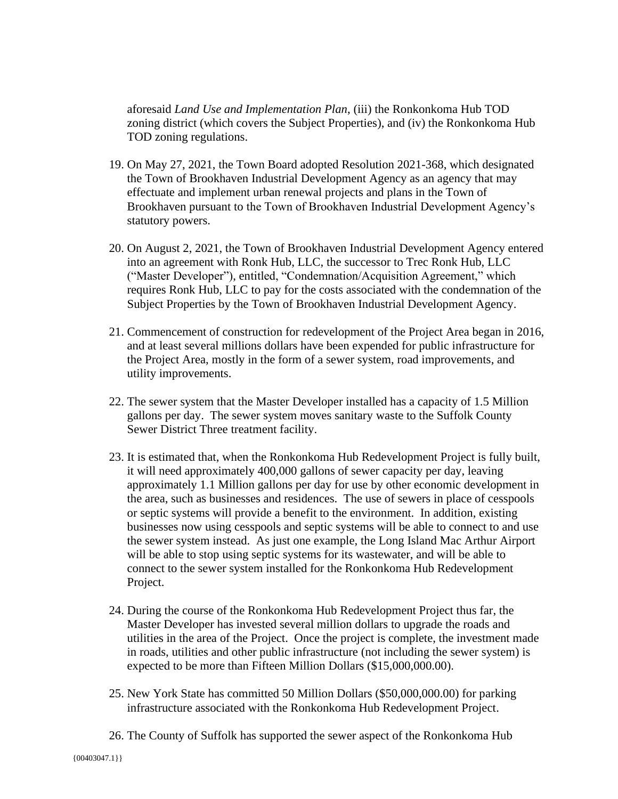aforesaid *Land Use and Implementation Plan*, (iii) the Ronkonkoma Hub TOD zoning district (which covers the Subject Properties), and (iv) the Ronkonkoma Hub TOD zoning regulations.

- 19. On May 27, 2021, the Town Board adopted Resolution 2021-368, which designated the Town of Brookhaven Industrial Development Agency as an agency that may effectuate and implement urban renewal projects and plans in the Town of Brookhaven pursuant to the Town of Brookhaven Industrial Development Agency's statutory powers.
- 20. On August 2, 2021, the Town of Brookhaven Industrial Development Agency entered into an agreement with Ronk Hub, LLC, the successor to Trec Ronk Hub, LLC ("Master Developer"), entitled, "Condemnation/Acquisition Agreement," which requires Ronk Hub, LLC to pay for the costs associated with the condemnation of the Subject Properties by the Town of Brookhaven Industrial Development Agency.
- 21. Commencement of construction for redevelopment of the Project Area began in 2016, and at least several millions dollars have been expended for public infrastructure for the Project Area, mostly in the form of a sewer system, road improvements, and utility improvements.
- 22. The sewer system that the Master Developer installed has a capacity of 1.5 Million gallons per day. The sewer system moves sanitary waste to the Suffolk County Sewer District Three treatment facility.
- 23. It is estimated that, when the Ronkonkoma Hub Redevelopment Project is fully built, it will need approximately 400,000 gallons of sewer capacity per day, leaving approximately 1.1 Million gallons per day for use by other economic development in the area, such as businesses and residences. The use of sewers in place of cesspools or septic systems will provide a benefit to the environment. In addition, existing businesses now using cesspools and septic systems will be able to connect to and use the sewer system instead. As just one example, the Long Island Mac Arthur Airport will be able to stop using septic systems for its wastewater, and will be able to connect to the sewer system installed for the Ronkonkoma Hub Redevelopment Project.
- 24. During the course of the Ronkonkoma Hub Redevelopment Project thus far, the Master Developer has invested several million dollars to upgrade the roads and utilities in the area of the Project. Once the project is complete, the investment made in roads, utilities and other public infrastructure (not including the sewer system) is expected to be more than Fifteen Million Dollars (\$15,000,000.00).
- 25. New York State has committed 50 Million Dollars (\$50,000,000.00) for parking infrastructure associated with the Ronkonkoma Hub Redevelopment Project.
- 26. The County of Suffolk has supported the sewer aspect of the Ronkonkoma Hub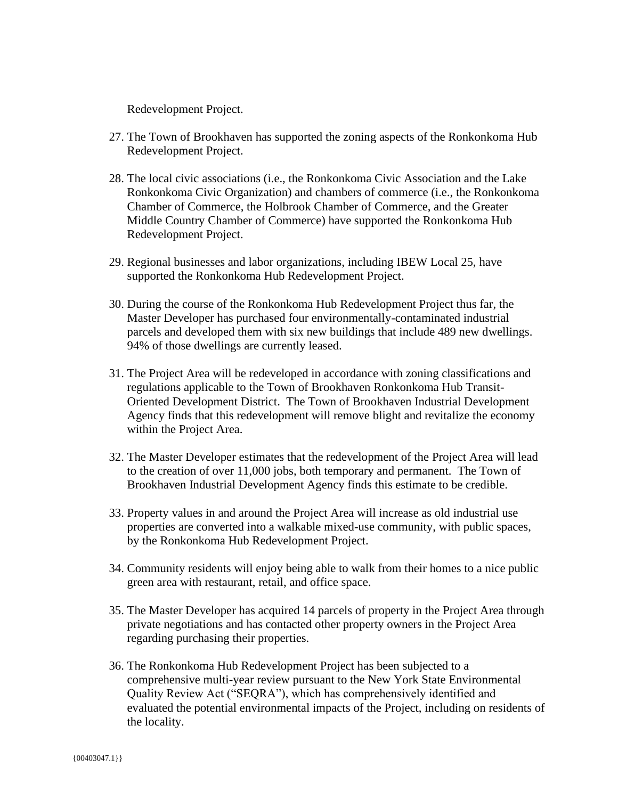Redevelopment Project.

- 27. The Town of Brookhaven has supported the zoning aspects of the Ronkonkoma Hub Redevelopment Project.
- 28. The local civic associations (i.e., the Ronkonkoma Civic Association and the Lake Ronkonkoma Civic Organization) and chambers of commerce (i.e., the Ronkonkoma Chamber of Commerce, the Holbrook Chamber of Commerce, and the Greater Middle Country Chamber of Commerce) have supported the Ronkonkoma Hub Redevelopment Project.
- 29. Regional businesses and labor organizations, including IBEW Local 25, have supported the Ronkonkoma Hub Redevelopment Project.
- 30. During the course of the Ronkonkoma Hub Redevelopment Project thus far, the Master Developer has purchased four environmentally-contaminated industrial parcels and developed them with six new buildings that include 489 new dwellings. 94% of those dwellings are currently leased.
- 31. The Project Area will be redeveloped in accordance with zoning classifications and regulations applicable to the Town of Brookhaven Ronkonkoma Hub Transit-Oriented Development District. The Town of Brookhaven Industrial Development Agency finds that this redevelopment will remove blight and revitalize the economy within the Project Area.
- 32. The Master Developer estimates that the redevelopment of the Project Area will lead to the creation of over 11,000 jobs, both temporary and permanent. The Town of Brookhaven Industrial Development Agency finds this estimate to be credible.
- 33. Property values in and around the Project Area will increase as old industrial use properties are converted into a walkable mixed-use community, with public spaces, by the Ronkonkoma Hub Redevelopment Project.
- 34. Community residents will enjoy being able to walk from their homes to a nice public green area with restaurant, retail, and office space.
- 35. The Master Developer has acquired 14 parcels of property in the Project Area through private negotiations and has contacted other property owners in the Project Area regarding purchasing their properties.
- 36. The Ronkonkoma Hub Redevelopment Project has been subjected to a comprehensive multi-year review pursuant to the New York State Environmental Quality Review Act ("SEQRA"), which has comprehensively identified and evaluated the potential environmental impacts of the Project, including on residents of the locality.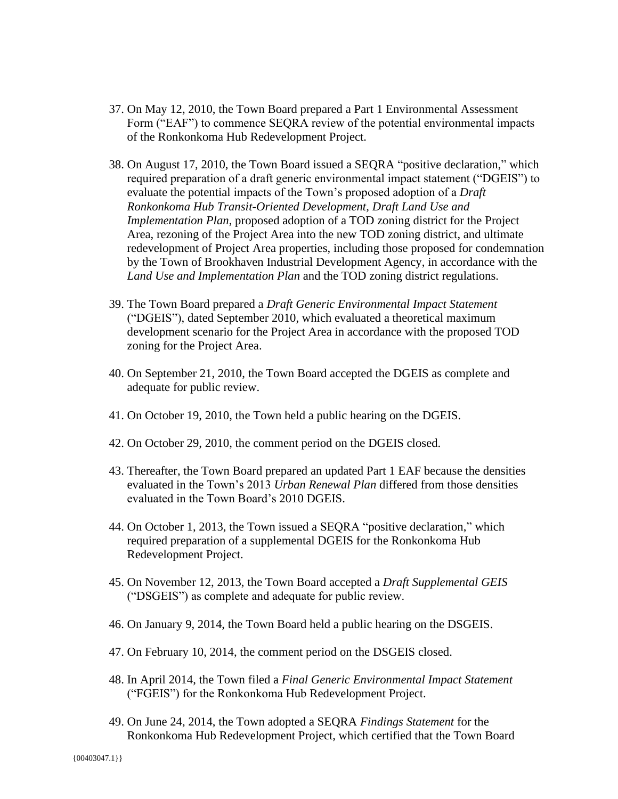- 37. On May 12, 2010, the Town Board prepared a Part 1 Environmental Assessment Form ("EAF") to commence SEQRA review of the potential environmental impacts of the Ronkonkoma Hub Redevelopment Project.
- 38. On August 17, 2010, the Town Board issued a SEQRA "positive declaration," which required preparation of a draft generic environmental impact statement ("DGEIS") to evaluate the potential impacts of the Town's proposed adoption of a *Draft Ronkonkoma Hub Transit-Oriented Development, Draft Land Use and Implementation Plan*, proposed adoption of a TOD zoning district for the Project Area, rezoning of the Project Area into the new TOD zoning district, and ultimate redevelopment of Project Area properties, including those proposed for condemnation by the Town of Brookhaven Industrial Development Agency, in accordance with the *Land Use and Implementation Plan* and the TOD zoning district regulations.
- 39. The Town Board prepared a *Draft Generic Environmental Impact Statement* ("DGEIS"), dated September 2010, which evaluated a theoretical maximum development scenario for the Project Area in accordance with the proposed TOD zoning for the Project Area.
- 40. On September 21, 2010, the Town Board accepted the DGEIS as complete and adequate for public review.
- 41. On October 19, 2010, the Town held a public hearing on the DGEIS.
- 42. On October 29, 2010, the comment period on the DGEIS closed.
- 43. Thereafter, the Town Board prepared an updated Part 1 EAF because the densities evaluated in the Town's 2013 *Urban Renewal Plan* differed from those densities evaluated in the Town Board's 2010 DGEIS.
- 44. On October 1, 2013, the Town issued a SEQRA "positive declaration," which required preparation of a supplemental DGEIS for the Ronkonkoma Hub Redevelopment Project.
- 45. On November 12, 2013, the Town Board accepted a *Draft Supplemental GEIS* ("DSGEIS") as complete and adequate for public review.
- 46. On January 9, 2014, the Town Board held a public hearing on the DSGEIS.
- 47. On February 10, 2014, the comment period on the DSGEIS closed.
- 48. In April 2014, the Town filed a *Final Generic Environmental Impact Statement* ("FGEIS") for the Ronkonkoma Hub Redevelopment Project.
- 49. On June 24, 2014, the Town adopted a SEQRA *Findings Statement* for the Ronkonkoma Hub Redevelopment Project, which certified that the Town Board